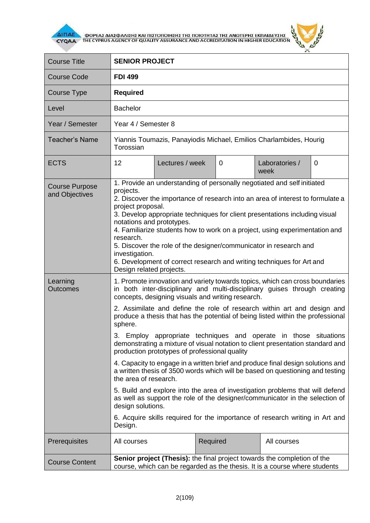

**AITIAE A OOPEAS AIAS DANISHS KAI TUSTOTOIHSHS THE TOIOTHTAS THE ANOTEPHS EKTIAIAEYSHS** 



| <b>Course Title</b>                     | <b>SENIOR PROJECT</b>                                                                                                                                                                                                                                                                                                                                                                                                                                                                                                                                                                           |                 |          |  |                        |   |  |
|-----------------------------------------|-------------------------------------------------------------------------------------------------------------------------------------------------------------------------------------------------------------------------------------------------------------------------------------------------------------------------------------------------------------------------------------------------------------------------------------------------------------------------------------------------------------------------------------------------------------------------------------------------|-----------------|----------|--|------------------------|---|--|
| <b>Course Code</b>                      | <b>FDI 499</b>                                                                                                                                                                                                                                                                                                                                                                                                                                                                                                                                                                                  |                 |          |  |                        |   |  |
| Course Type                             | <b>Required</b>                                                                                                                                                                                                                                                                                                                                                                                                                                                                                                                                                                                 |                 |          |  |                        |   |  |
| Level                                   | <b>Bachelor</b>                                                                                                                                                                                                                                                                                                                                                                                                                                                                                                                                                                                 |                 |          |  |                        |   |  |
| Year / Semester                         | Year 4 / Semester 8                                                                                                                                                                                                                                                                                                                                                                                                                                                                                                                                                                             |                 |          |  |                        |   |  |
| <b>Teacher's Name</b>                   | Yiannis Toumazis, Panayiodis Michael, Emilios Charlambides, Hourig<br>Torossian                                                                                                                                                                                                                                                                                                                                                                                                                                                                                                                 |                 |          |  |                        |   |  |
| <b>ECTS</b>                             | 12                                                                                                                                                                                                                                                                                                                                                                                                                                                                                                                                                                                              | Lectures / week | 0        |  | Laboratories /<br>week | 0 |  |
| <b>Course Purpose</b><br>and Objectives | 1. Provide an understanding of personally negotiated and self initiated<br>projects.<br>2. Discover the importance of research into an area of interest to formulate a<br>project proposal.<br>3. Develop appropriate techniques for client presentations including visual<br>notations and prototypes.<br>4. Familiarize students how to work on a project, using experimentation and<br>research.<br>5. Discover the role of the designer/communicator in research and<br>investigation.<br>6. Development of correct research and writing techniques for Art and<br>Design related projects. |                 |          |  |                        |   |  |
| Learning<br><b>Outcomes</b>             | 1. Promote innovation and variety towards topics, which can cross boundaries<br>in both inter-disciplinary and multi-disciplinary guises through creating<br>concepts, designing visuals and writing research.<br>2. Assimilate and define the role of research within art and design and<br>produce a thesis that has the potential of being listed within the professional                                                                                                                                                                                                                    |                 |          |  |                        |   |  |
|                                         | sphere.<br>3. Employ appropriate techniques and operate in those situations<br>demonstrating a mixture of visual notation to client presentation standard and<br>production prototypes of professional quality<br>4. Capacity to engage in a written brief and produce final design solutions and<br>a written thesis of 3500 words which will be based on questioning and testing<br>the area of research.                                                                                                                                                                                     |                 |          |  |                        |   |  |
|                                         | 5. Build and explore into the area of investigation problems that will defend<br>as well as support the role of the designer/communicator in the selection of<br>design solutions.                                                                                                                                                                                                                                                                                                                                                                                                              |                 |          |  |                        |   |  |
|                                         | 6. Acquire skills required for the importance of research writing in Art and<br>Design.                                                                                                                                                                                                                                                                                                                                                                                                                                                                                                         |                 |          |  |                        |   |  |
| Prerequisites                           | All courses                                                                                                                                                                                                                                                                                                                                                                                                                                                                                                                                                                                     |                 | Required |  | All courses            |   |  |
| <b>Course Content</b>                   | <b>Senior project (Thesis):</b> the final project towards the completion of the<br>course, which can be regarded as the thesis. It is a course where students                                                                                                                                                                                                                                                                                                                                                                                                                                   |                 |          |  |                        |   |  |